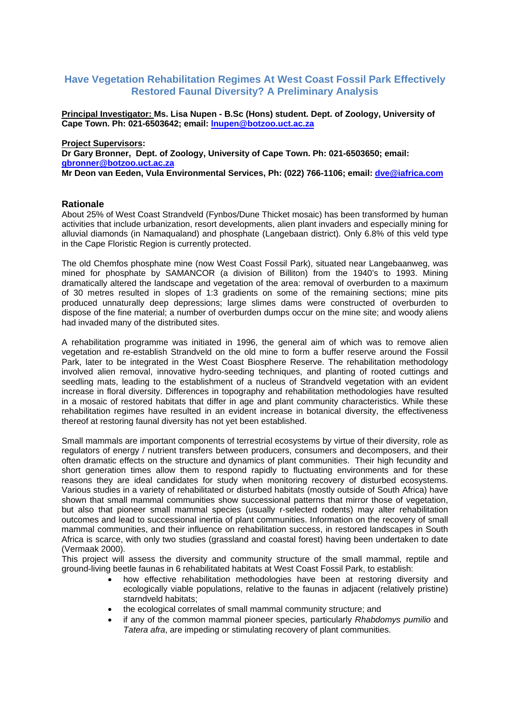# **Have Vegetation Rehabilitation Regimes At West Coast Fossil Park Effectively Restored Faunal Diversity? A Preliminary Analysis**

**Principal Investigator: Ms. Lisa Nupen - B.Sc (Hons) student. Dept. of Zoology, University of Cape Town. Ph: 021-6503642; email: [lnupen@botzoo.uct.ac.za](mailto:lnupen@botzoo.uct.ac.za)**

### **Project Supervisors:**

**Dr Gary Bronner, Dept. of Zoology, University of Cape Town. Ph: 021-6503650; email: [gbronner@botzoo.uct.ac.za](mailto:gbronner@botzoo.uct.ac.za)**

**Mr Deon van Eeden, Vula Environmental Services, Ph: (022) 766-1106; email: [dve@iafrica.com](mailto:dve@iafrica.com)**

# **Rationale**

About 25% of West Coast Strandveld (Fynbos/Dune Thicket mosaic) has been transformed by human activities that include urbanization, resort developments, alien plant invaders and especially mining for alluvial diamonds (in Namaqualand) and phosphate (Langebaan district). Only 6.8% of this veld type in the Cape Floristic Region is currently protected.

The old Chemfos phosphate mine (now West Coast Fossil Park), situated near Langebaanweg, was mined for phosphate by SAMANCOR (a division of Billiton) from the 1940's to 1993. Mining dramatically altered the landscape and vegetation of the area: removal of overburden to a maximum of 30 metres resulted in slopes of 1:3 gradients on some of the remaining sections; mine pits produced unnaturally deep depressions; large slimes dams were constructed of overburden to dispose of the fine material; a number of overburden dumps occur on the mine site; and woody aliens had invaded many of the distributed sites.

A rehabilitation programme was initiated in 1996, the general aim of which was to remove alien vegetation and re-establish Strandveld on the old mine to form a buffer reserve around the Fossil Park, later to be integrated in the West Coast Biosphere Reserve. The rehabilitation methodology involved alien removal, innovative hydro-seeding techniques, and planting of rooted cuttings and seedling mats, leading to the establishment of a nucleus of Strandveld vegetation with an evident increase in floral diversity. Differences in topography and rehabilitation methodologies have resulted in a mosaic of restored habitats that differ in age and plant community characteristics. While these rehabilitation regimes have resulted in an evident increase in botanical diversity, the effectiveness thereof at restoring faunal diversity has not yet been established.

Small mammals are important components of terrestrial ecosystems by virtue of their diversity, role as regulators of energy / nutrient transfers between producers, consumers and decomposers, and their often dramatic effects on the structure and dynamics of plant communities. Their high fecundity and short generation times allow them to respond rapidly to fluctuating environments and for these reasons they are ideal candidates for study when monitoring recovery of disturbed ecosystems. Various studies in a variety of rehabilitated or disturbed habitats (mostly outside of South Africa) have shown that small mammal communities show successional patterns that mirror those of vegetation, but also that pioneer small mammal species (usually r-selected rodents) may alter rehabilitation outcomes and lead to successional inertia of plant communities. Information on the recovery of small mammal communities, and their influence on rehabilitation success, in restored landscapes in South Africa is scarce, with only two studies (grassland and coastal forest) having been undertaken to date (Vermaak 2000).

This project will assess the diversity and community structure of the small mammal, reptile and ground-living beetle faunas in 6 rehabilitated habitats at West Coast Fossil Park, to establish:

- how effective rehabilitation methodologies have been at restoring diversity and ecologically viable populations, relative to the faunas in adjacent (relatively pristine) starndveld habitats;
- the ecological correlates of small mammal community structure; and
- if any of the common mammal pioneer species, particularly *Rhabdomys pumilio* and *Tatera afra*, are impeding or stimulating recovery of plant communities.